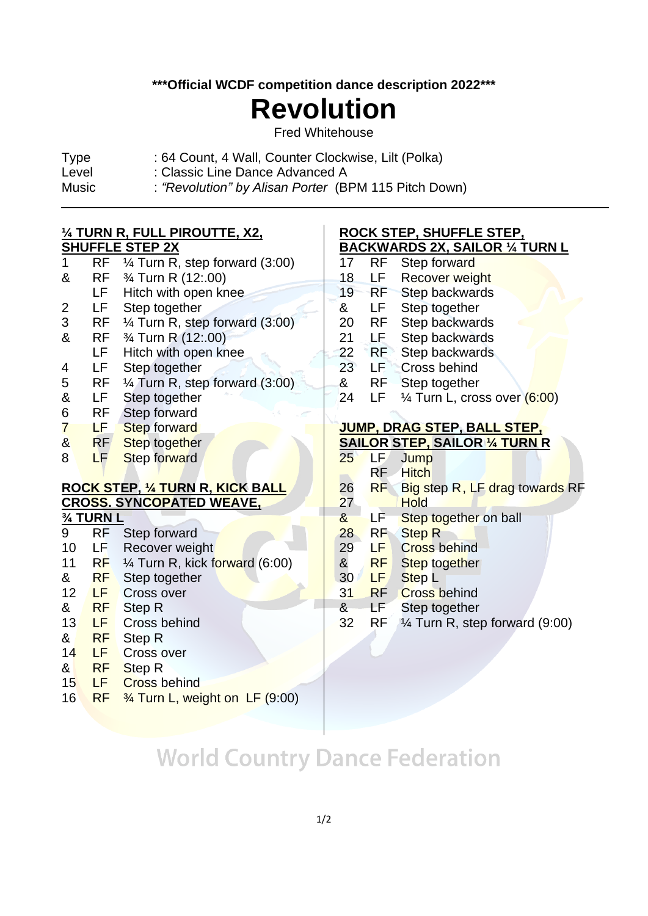**\*\*\*Official WCDF competition dance description 2022\*\*\***

# **Revolution**

Fred Whitehouse

- Type : 64 Count, 4 Wall, Counter Clockwise, Lilt (Polka)
- Level : Classic Line Dance Advanced A
- Music : *"Revolution" by Alisan Porter* (BPM 115 Pitch Down)

### **¼ TURN R, FULL PIROUTTE, X2,**

#### **SHUFFLE STEP 2X**

 $\overline{a}$ 

| 1 | RF | $\frac{1}{4}$ Turn R, step forward (3:00) |
|---|----|-------------------------------------------|
| & | RF | 3⁄4 Turn R (12:.00)                       |
|   | LF | Hitch with open knee                      |
| 2 | LF | Step together                             |
| 3 | RF | $\frac{1}{4}$ Turn R, step forward (3:00) |
| & | RF | 3⁄4 Turn R (12:.00)                       |
|   | LF | Hitch with open knee                      |
| 4 | LF | Step together                             |
| 5 | RF | $\frac{1}{4}$ Turn R, step forward (3:00) |
| & | LF | Step together                             |
| 6 | RF | <b>Step forward</b>                       |
| 7 | LF | <b>Step forward</b>                       |
| & | RF | Step together                             |
| 8 | LF | <b>Step forward</b>                       |

### **ROCK STEP, ¼ TURN R, KICK BALL CROSS. SYNCOPATED WEAVE,**

**¾ TURN L**

- 9 RF Step forward
- 10 LF Recover weight
- 11 RF  $\frac{1}{4}$  Turn R, kick forward (6:00)
- & RF Step together
- 12 LF Cross over
- & RF Step R
- 13 LF Cross behind
- & RF Step R
- 14 LF Cross over
- & RF Step R
- 15 LF Cross behind
- 16 RF ¾ Turn L, weight on LF (9:00)

#### **ROCK STEP, SHUFFLE STEP, BACKWARDS 2X, SAILOR ¼ TURN L**

- 17 RF Step forward 18 LF Recover weight 19 RF Step backwards & LF Step together 20 RF Step backwards 21 LF Step backwards 22 RF Step backwards 23 LF Cross behind & RF Step together
- 24 LF  $\frac{1}{4}$  Turn L, cross over  $(6:00)$

#### **JUMP, DRAG STEP, BALL STEP, SAILOR STEP, SAILOR ¼ TURN R**

| 25           | LF             | Jump                                  |
|--------------|----------------|---------------------------------------|
|              | RF             | <b>Hitch</b>                          |
| 26           | <b>RF</b>      | <b>Big step R, LF drag towards RF</b> |
| 27           |                | <b>Hold</b>                           |
| $\mathbf{g}$ | LF             | Step together on ball                 |
| 28           | R <sub>F</sub> | <b>Step R</b>                         |
| 29           | LF             | <b>Cross behind</b>                   |
| $rac{8}{30}$ | <b>RF</b>      | Step together                         |
|              | LF             | Step <sub>L</sub>                     |
| 31           | <b>RF</b>      | <b>Cross behind</b>                   |
|              |                |                                       |

- & LF Step together
- 32 RF ¼ Turn R, step forward (9:00)

# **World Country Dance Federation**